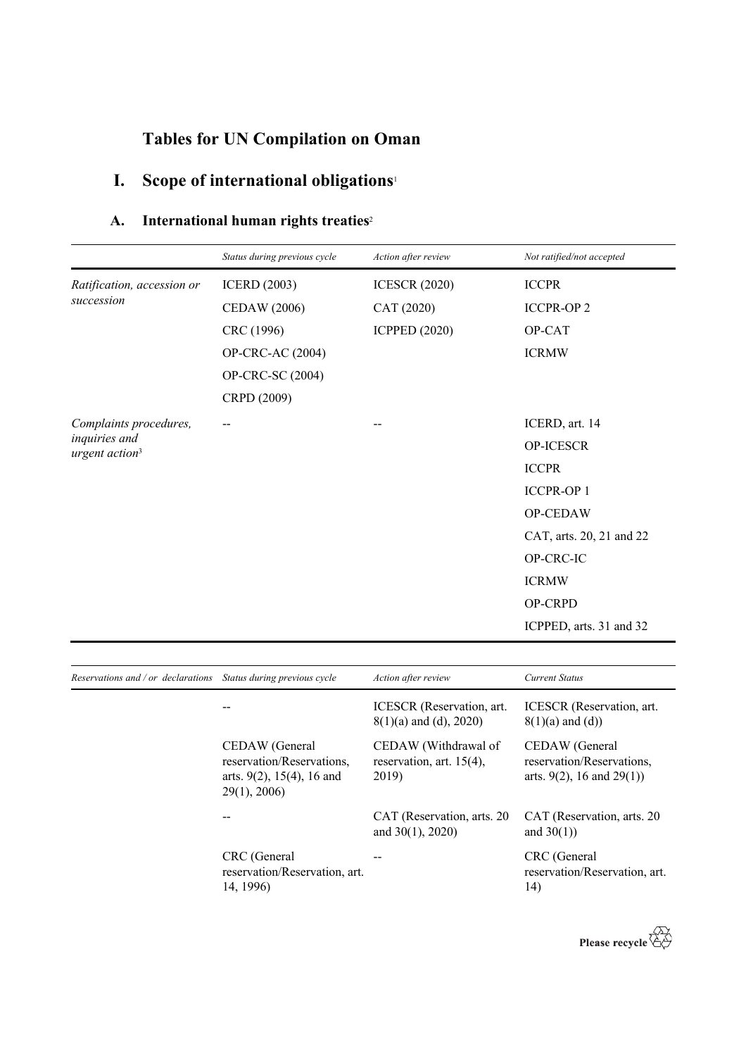# **Tables for UN Compilation on Oman**

# **I. Scope of international obligations**<sup>1</sup>

## **A. International human rights treaties**<sup>2</sup>

|                                             | Status during previous cycle | Action after review  | Not ratified/not accepted |
|---------------------------------------------|------------------------------|----------------------|---------------------------|
| Ratification, accession or                  | <b>ICERD</b> (2003)          | <b>ICESCR (2020)</b> | <b>ICCPR</b>              |
| succession                                  | <b>CEDAW</b> (2006)          | CAT (2020)           | <b>ICCPR-OP2</b>          |
|                                             | CRC (1996)                   | <b>ICPPED (2020)</b> | OP-CAT                    |
|                                             | OP-CRC-AC (2004)             |                      | <b>ICRMW</b>              |
|                                             | OP-CRC-SC (2004)             |                      |                           |
|                                             | CRPD (2009)                  |                      |                           |
| Complaints procedures,                      |                              |                      | ICERD, art. 14            |
| inquiries and<br>urgent action <sup>3</sup> |                              |                      | OP-ICESCR                 |
|                                             |                              |                      | <b>ICCPR</b>              |
|                                             |                              |                      | <b>ICCPR-OP1</b>          |
|                                             |                              |                      | OP-CEDAW                  |
|                                             |                              |                      | CAT, arts. 20, 21 and 22  |
|                                             |                              |                      | OP-CRC-IC                 |
|                                             |                              |                      | <b>ICRMW</b>              |
|                                             |                              |                      | OP-CRPD                   |
|                                             |                              |                      | ICPPED, arts. 31 and 32   |

| Reservations and / or declarations | Status during previous cycle                                                               | Action after review                                          | <b>Current Status</b>                                                          |
|------------------------------------|--------------------------------------------------------------------------------------------|--------------------------------------------------------------|--------------------------------------------------------------------------------|
|                                    |                                                                                            | ICESCR (Reservation, art.<br>$8(1)(a)$ and (d), 2020)        | ICESCR (Reservation, art.<br>$8(1)(a)$ and $(d)$ )                             |
|                                    | CEDAW (General<br>reservation/Reservations,<br>arts. $9(2)$ , 15(4), 16 and<br>29(1), 2006 | CEDAW (Withdrawal of<br>reservation, art. $15(4)$ ,<br>2019) | CEDAW (General<br>reservation/Reservations,<br>arts. $9(2)$ , 16 and $29(1)$ ) |
|                                    |                                                                                            | CAT (Reservation, arts. 20<br>and $30(1)$ , $2020$ )         | CAT (Reservation, arts. 20<br>and $30(1)$ )                                    |
|                                    | CRC (General<br>reservation/Reservation, art.<br>14, 1996)                                 |                                                              | CRC (General<br>reservation/Reservation, art.<br>14)                           |

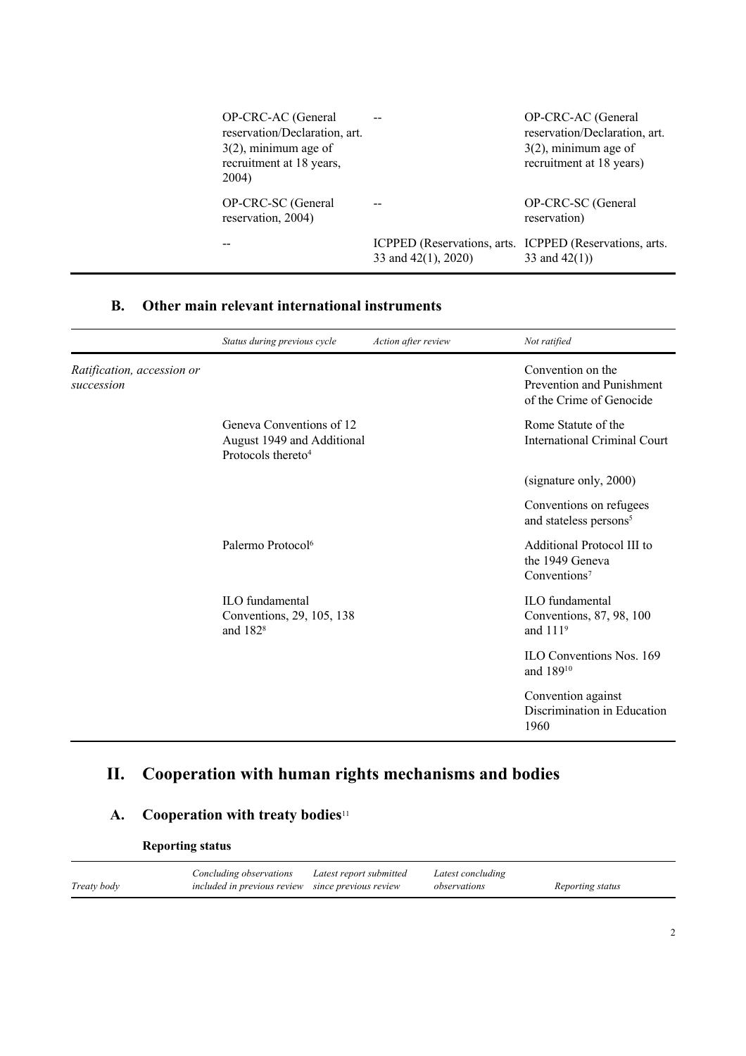| OP-CRC-AC (General<br>reservation/Declaration, art.<br>$3(2)$ , minimum age of<br>recruitment at 18 years,<br>2004) |                     | OP-CRC-AC (General<br>reservation/Declaration, art.<br>$3(2)$ , minimum age of<br>recruitment at 18 years) |
|---------------------------------------------------------------------------------------------------------------------|---------------------|------------------------------------------------------------------------------------------------------------|
| OP-CRC-SC (General<br>reservation, 2004)                                                                            |                     | OP-CRC-SC (General<br>reservation)                                                                         |
|                                                                                                                     | 33 and 42(1), 2020) | ICPPED (Reservations, arts. ICPPED (Reservations, arts.<br>33 and $42(1)$ )                                |

#### **B. Other main relevant international instruments**

|                                          | Status during previous cycle                                                             | Action after review | Not ratified                                                               |
|------------------------------------------|------------------------------------------------------------------------------------------|---------------------|----------------------------------------------------------------------------|
| Ratification, accession or<br>succession |                                                                                          |                     | Convention on the<br>Prevention and Punishment<br>of the Crime of Genocide |
|                                          | Geneva Conventions of 12<br>August 1949 and Additional<br>Protocols thereto <sup>4</sup> |                     | Rome Statute of the<br><b>International Criminal Court</b>                 |
|                                          |                                                                                          |                     | (signature only, 2000)                                                     |
|                                          |                                                                                          |                     | Conventions on refugees<br>and stateless persons <sup>5</sup>              |
|                                          | Palermo Protocol <sup>6</sup>                                                            |                     | Additional Protocol III to<br>the 1949 Geneva<br>Conventions <sup>7</sup>  |
|                                          | ILO fundamental<br>Conventions, 29, 105, 138<br>and $1828$                               |                     | ILO fundamental<br>Conventions, 87, 98, 100<br>and $1119$                  |
|                                          |                                                                                          |                     | ILO Conventions Nos. 169<br>and 18910                                      |
|                                          |                                                                                          |                     | Convention against<br>Discrimination in Education<br>1960                  |

## **II. Cooperation with human rights mechanisms and bodies**

#### **A. Cooperation with treaty bodies**<sup>11</sup>

**Reporting status**

|             | Concluding observations                           | Latest report submitted | Latest concluding |                  |
|-------------|---------------------------------------------------|-------------------------|-------------------|------------------|
| Treaty body | included in previous review since previous review |                         | observations      | Reporting status |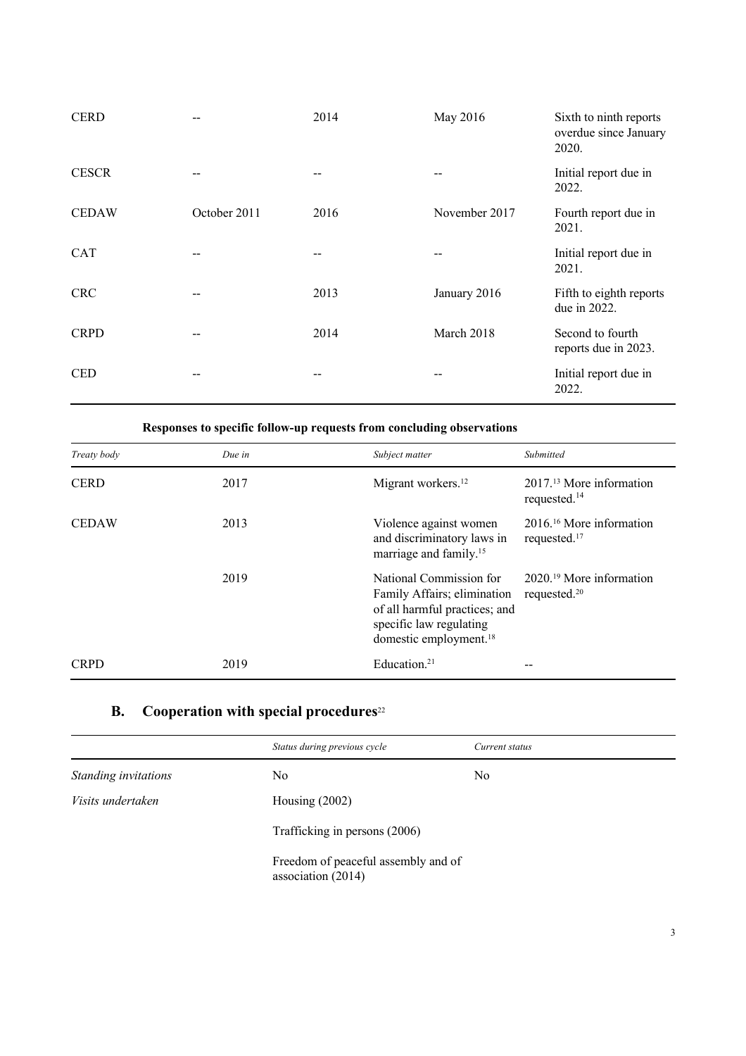| <b>CERD</b>  |              | 2014  | May 2016      | Sixth to ninth reports<br>overdue since January<br>2020. |
|--------------|--------------|-------|---------------|----------------------------------------------------------|
| <b>CESCR</b> |              | $- -$ |               | Initial report due in<br>2022.                           |
| <b>CEDAW</b> | October 2011 | 2016  | November 2017 | Fourth report due in<br>2021.                            |
| <b>CAT</b>   |              |       |               | Initial report due in<br>2021.                           |
| <b>CRC</b>   |              | 2013  | January 2016  | Fifth to eighth reports<br>due in 2022.                  |
| <b>CRPD</b>  |              | 2014  | March 2018    | Second to fourth<br>reports due in 2023.                 |
| <b>CED</b>   |              |       | --            | Initial report due in<br>2022.                           |

**Responses to specific follow-up requests from concluding observations**

| Treaty body  | Due in | Subject matter                                                                                                                                           | Submitted                                             |
|--------------|--------|----------------------------------------------------------------------------------------------------------------------------------------------------------|-------------------------------------------------------|
| <b>CERD</b>  | 2017   | Migrant workers. <sup>12</sup>                                                                                                                           | $201713$ More information<br>requested. <sup>14</sup> |
| <b>CEDAW</b> | 2013   | Violence against women<br>and discriminatory laws in<br>marriage and family. <sup>15</sup>                                                               | $201616$ More information<br>requested. <sup>17</sup> |
|              | 2019   | National Commission for<br>Family Affairs; elimination<br>of all harmful practices; and<br>specific law regulating<br>domestic employment. <sup>18</sup> | $202019$ More information<br>requested. <sup>20</sup> |
| <b>CRPD</b>  | 2019   | Education. $21$                                                                                                                                          |                                                       |

## **B. Cooperation with special procedures**<sup>22</sup>

|                      | Status during previous cycle                              | Current status |
|----------------------|-----------------------------------------------------------|----------------|
| Standing invitations | No.                                                       | N <sub>o</sub> |
| Visits undertaken    | Housing $(2002)$                                          |                |
|                      | Trafficking in persons (2006)                             |                |
|                      | Freedom of peaceful assembly and of<br>association (2014) |                |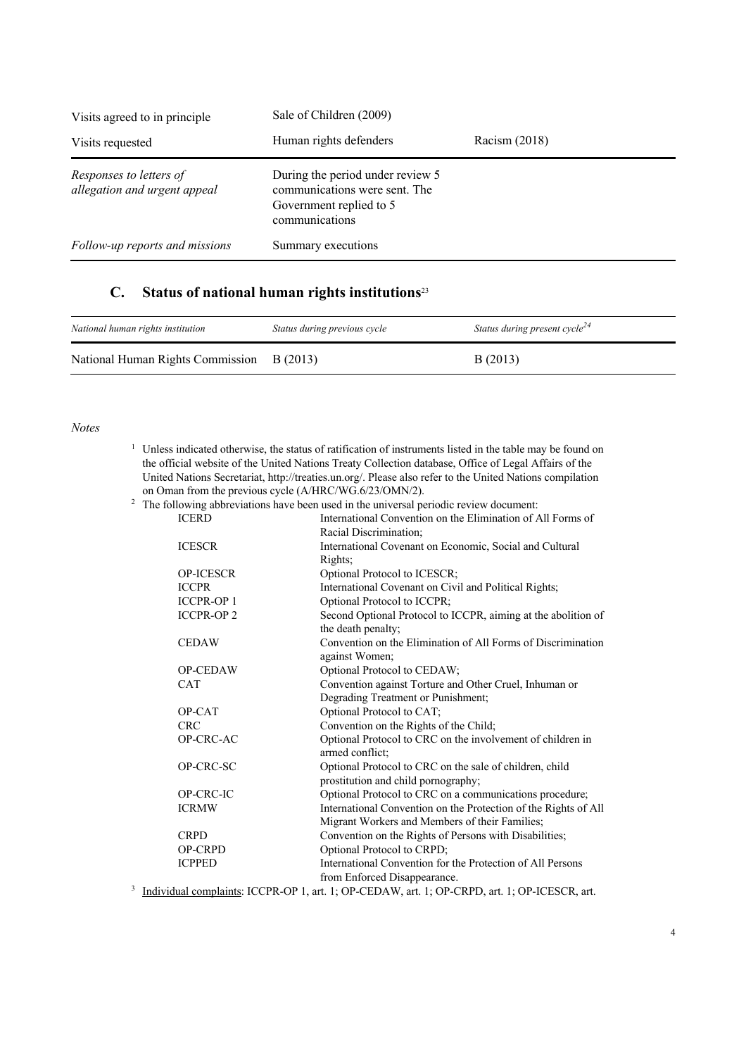| Visits agreed to in principle                           | Sale of Children (2009)                                                                                        |                 |  |
|---------------------------------------------------------|----------------------------------------------------------------------------------------------------------------|-----------------|--|
| Visits requested                                        | Human rights defenders                                                                                         | Racism $(2018)$ |  |
| Responses to letters of<br>allegation and urgent appeal | During the period under review 5<br>communications were sent. The<br>Government replied to 5<br>communications |                 |  |
| Follow-up reports and missions                          | Summary executions                                                                                             |                 |  |

### **C. Status of national human rights institutions**<sup>23</sup>

| National human rights institution         | Status during previous cycle | Status during present cycle <sup>24</sup> |
|-------------------------------------------|------------------------------|-------------------------------------------|
| National Human Rights Commission B (2013) |                              | B(2013)                                   |

#### *Notes*

| $1$ Unless indicated otherwise, the status of ratification of instruments listed in the table may be found on |
|---------------------------------------------------------------------------------------------------------------|
| the official website of the United Nations Treaty Collection database, Office of Legal Affairs of the         |
| United Nations Secretariat, http://treaties.un.org/. Please also refer to the United Nations compilation      |
| on Oman from the previous cycle (A/HRC/WG.6/23/OMN/2).                                                        |

| $2\degree$ The following abbreviations have been used in the universal periodic review document: |                                                                                                                                      |
|--------------------------------------------------------------------------------------------------|--------------------------------------------------------------------------------------------------------------------------------------|
| <b>ICERD</b>                                                                                     | International Convention on the Elimination of All Forms of                                                                          |
|                                                                                                  | Racial Discrimination;                                                                                                               |
| <b>ICESCR</b>                                                                                    | International Covenant on Economic, Social and Cultural                                                                              |
|                                                                                                  | Rights;                                                                                                                              |
| <b>OP-ICESCR</b>                                                                                 | Optional Protocol to ICESCR;                                                                                                         |
| <b>ICCPR</b>                                                                                     | International Covenant on Civil and Political Rights;                                                                                |
| <b>ICCPR-OP1</b>                                                                                 | Optional Protocol to ICCPR;                                                                                                          |
| <b>ICCPR-OP2</b>                                                                                 | Second Optional Protocol to ICCPR, aiming at the abolition of                                                                        |
|                                                                                                  | the death penalty;                                                                                                                   |
| <b>CEDAW</b>                                                                                     | Convention on the Elimination of All Forms of Discrimination                                                                         |
|                                                                                                  | against Women;                                                                                                                       |
| OP-CEDAW                                                                                         | Optional Protocol to CEDAW;                                                                                                          |
| <b>CAT</b>                                                                                       | Convention against Torture and Other Cruel, Inhuman or                                                                               |
|                                                                                                  | Degrading Treatment or Punishment;                                                                                                   |
| OP-CAT                                                                                           | Optional Protocol to CAT;                                                                                                            |
| <b>CRC</b>                                                                                       | Convention on the Rights of the Child;                                                                                               |
| OP-CRC-AC                                                                                        | Optional Protocol to CRC on the involvement of children in                                                                           |
|                                                                                                  | armed conflict:                                                                                                                      |
| OP-CRC-SC                                                                                        | Optional Protocol to CRC on the sale of children, child                                                                              |
|                                                                                                  | prostitution and child pornography;                                                                                                  |
| OP-CRC-IC                                                                                        | Optional Protocol to CRC on a communications procedure;                                                                              |
| <b>ICRMW</b>                                                                                     | International Convention on the Protection of the Rights of All                                                                      |
|                                                                                                  | Migrant Workers and Members of their Families;                                                                                       |
| <b>CRPD</b>                                                                                      | Convention on the Rights of Persons with Disabilities;                                                                               |
| OP-CRPD                                                                                          | Optional Protocol to CRPD;                                                                                                           |
| <b>ICPPED</b>                                                                                    | International Convention for the Protection of All Persons                                                                           |
|                                                                                                  | from Enforced Disappearance.                                                                                                         |
|                                                                                                  | <sup>3</sup> Individual complaints: $\text{ICPR-OP}$ 1 art 1: $\text{OP-CFDAW}$ art 1: $\text{OP-CPPD}$ art 1: $\text{OP-IFSCR}$ art |

<sup>3</sup> Individual complaints: ICCPR-OP 1, art. 1; OP-CEDAW, art. 1; OP-CRPD, art. 1; OP-ICESCR, art.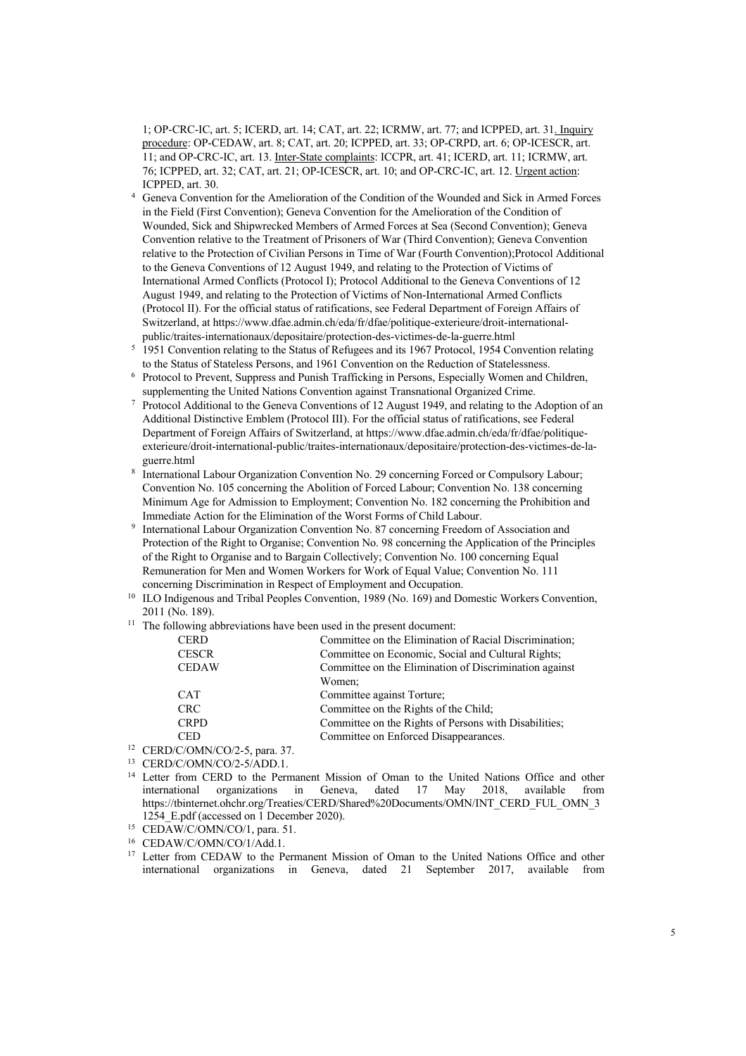1; OP-CRC-IC, art. 5; ICERD, art. 14; CAT, art. 22; ICRMW, art. 77; and ICPPED, art. 31. Inquiry procedure: OP-CEDAW, art. 8; CAT, art. 20; ICPPED, art. 33; OP-CRPD, art. 6; OP-ICESCR, art. 11; and OP-CRC-IC, art. 13. Inter-State complaints: ICCPR, art. 41; ICERD, art. 11; ICRMW, art. 76; ICPPED, art. 32; CAT, art. 21; OP-ICESCR, art. 10; and OP-CRC-IC, art. 12. Urgent action: ICPPED, art. 30.

- <sup>4</sup> Geneva Convention for the Amelioration of the Condition of the Wounded and Sick in Armed Forces in the Field (First Convention); Geneva Convention for the Amelioration of the Condition of Wounded, Sick and Shipwrecked Members of Armed Forces at Sea (Second Convention); Geneva Convention relative to the Treatment of Prisoners of War (Third Convention); Geneva Convention relative to the Protection of Civilian Persons in Time of War (Fourth Convention);Protocol Additional to the Geneva Conventions of 12 August 1949, and relating to the Protection of Victims of International Armed Conflicts (Protocol I); Protocol Additional to the Geneva Conventions of 12 August 1949, and relating to the Protection of Victims of Non-International Armed Conflicts (Protocol II). For the official status of ratifications, see Federal Department of Foreign Affairs of Switzerland, at https://www.dfae.admin.ch/eda/fr/dfae/politique-exterieure/droit-internationalpublic/traites-internationaux/depositaire/protection-des-victimes-de-la-guerre.html
- <sup>5</sup> 1951 Convention relating to the Status of Refugees and its 1967 Protocol, 1954 Convention relating to the Status of Stateless Persons, and 1961 Convention on the Reduction of Statelessness.
- <sup>6</sup> Protocol to Prevent, Suppress and Punish Trafficking in Persons, Especially Women and Children, supplementing the United Nations Convention against Transnational Organized Crime.
- <sup>7</sup> Protocol Additional to the Geneva Conventions of 12 August 1949, and relating to the Adoption of an Additional Distinctive Emblem (Protocol III). For the official status of ratifications, see Federal Department of Foreign Affairs of Switzerland, at https://www.dfae.admin.ch/eda/fr/dfae/politiqueexterieure/droit-international-public/traites-internationaux/depositaire/protection-des-victimes-de-laguerre.html
- <sup>8</sup> International Labour Organization Convention No. 29 concerning Forced or Compulsory Labour; Convention No. 105 concerning the Abolition of Forced Labour; Convention No. 138 concerning Minimum Age for Admission to Employment; Convention No. 182 concerning the Prohibition and Immediate Action for the Elimination of the Worst Forms of Child Labour.
- <sup>9</sup> International Labour Organization Convention No. 87 concerning Freedom of Association and Protection of the Right to Organise; Convention No. 98 concerning the Application of the Principles of the Right to Organise and to Bargain Collectively; Convention No. 100 concerning Equal Remuneration for Men and Women Workers for Work of Equal Value; Convention No. 111 concerning Discrimination in Respect of Employment and Occupation.
- <sup>10</sup> ILO Indigenous and Tribal Peoples Convention, 1989 (No. 169) and Domestic Workers Convention, 2011 (No. 189).
- <sup>11</sup> The following abbreviations have been used in the present document:

| <b>CERD</b>  | Committee on the Elimination of Racial Discrimination; |
|--------------|--------------------------------------------------------|
| <b>CESCR</b> | Committee on Economic, Social and Cultural Rights;     |
| <b>CEDAW</b> | Committee on the Elimination of Discrimination against |
|              | Women;                                                 |
| <b>CAT</b>   | Committee against Torture;                             |
| <b>CRC</b>   | Committee on the Rights of the Child;                  |
| <b>CRPD</b>  | Committee on the Rights of Persons with Disabilities;  |
| <b>CED</b>   | Committee on Enforced Disappearances.                  |
|              |                                                        |

- <sup>12</sup> CERD/C/OMN/CO/2-5, para. 37.
- <sup>13</sup> CERD/C/OMN/CO/2-5/ADD.1.
- <sup>14</sup> Letter from CERD to the Permanent Mission of Oman to the United Nations Office and other<br>international organizations in Geneva, dated 17 May 2018, available from international organizations in Geneva, dated 17 May https://tbinternet.ohchr.org/Treaties/CERD/Shared%20Documents/OMN/INT\_CERD\_FUL\_OMN\_3 1254 E.pdf (accessed on 1 December 2020).
- <sup>15</sup> CEDAW/C/OMN/CO/1, para. 51.
- <sup>16</sup> CEDAW/C/OMN/CO/1/Add.1.
- <sup>17</sup> Letter from CEDAW to the Permanent Mission of Oman to the United Nations Office and other international organizations in Geneva, dated 21 September 2017, available from